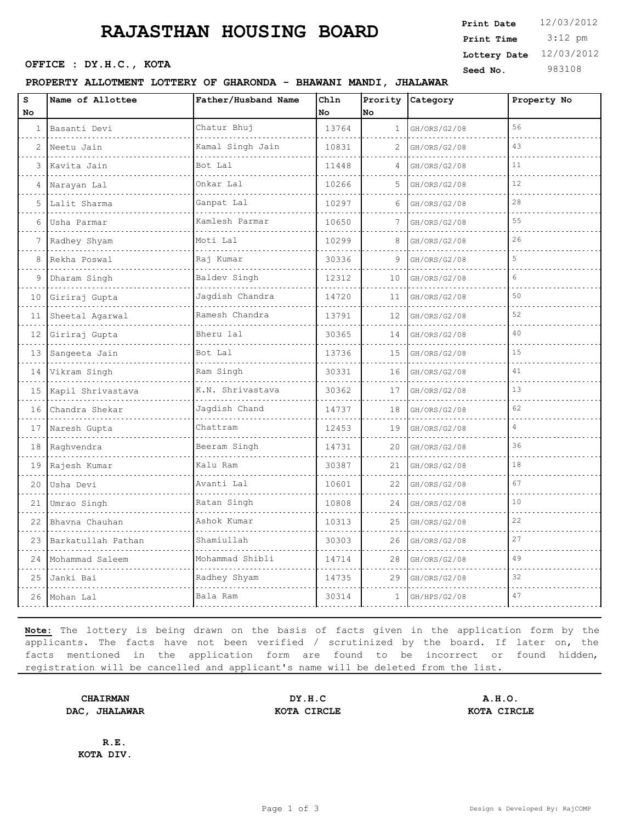# **RAJASTHAN HOUSING BOARD**

**SEED OFFICE : DY.H.C., KOTA Seed No.** 983108

#### **PROPERTY ALLOTMENT LOTTERY OF GHARONDA - BHAWANI MANDI, JHALAWAR**

 3:12 pm **Print Date**  $12/03/2012$ **Print Time Lottery Date** 12/03/2012

| s<br><b>No</b> | Name of Allottee   | Father/Husband Name | Chln<br>No | Prority<br><b>No</b> | Category     | Property No    |
|----------------|--------------------|---------------------|------------|----------------------|--------------|----------------|
| $\mathbf{1}$   | Basanti Devi       | Chatur Bhuj         | 13764      | $\mathbf{1}$         | GH/ORS/G2/08 | 56             |
| $\overline{2}$ | Neetu Jain         | Kamal Singh Jain    | 10831      | 2                    | GH/ORS/G2/08 | 43             |
| 3              | Kavita Jain        | Bot Lal             | 11448      | 4                    | GH/ORS/G2/08 | 11             |
| 4              | Narayan Lal        | Onkar Lal           | 10266      | 5                    | GH/ORS/G2/08 | 12             |
| 5              | Lalit Sharma       | Ganpat Lal          | 10297      | 6                    | GH/ORS/G2/08 | 28             |
| 6              | Usha Parmar        | Kamlesh Parmar      | 10650      | 7                    | GH/ORS/G2/08 | 55             |
| 7              | Radhey Shyam       | Moti Lal            | 10299      | 8                    | GH/ORS/G2/08 | 26             |
| 8              | Rekha Poswal       | Raj Kumar           | 30336      | 9                    | GH/ORS/G2/08 | 5              |
| 9              | Dharam Singh       | Baldev Singh        | 12312      | 10                   | GH/ORS/G2/08 | 6              |
| 10             | Giriraj Gupta      | Jagdish Chandra     | 14720      | 11                   | GH/ORS/G2/08 | 50             |
| 11             | Sheetal Agarwal    | Ramesh Chandra      | 13791      | 12                   | GH/ORS/G2/08 | 52             |
| 12             | Giriraj Gupta      | Bheru lal           | 30365      | 14                   | GH/ORS/G2/08 | 40             |
| 13             | Sangeeta Jain      | Bot Lal             | 13736      | 15                   | GH/ORS/G2/08 | 15             |
| 14             | Vikram Singh<br>.  | Ram Singh           | 30331      | 16                   | GH/ORS/G2/08 | 41             |
| 15             | Kapil Shrivastava  | K.N. Shrivastava    | 30362      | 17                   | GH/ORS/G2/08 | 13             |
| 16             | Chandra Shekar     | Jagdish Chand       | 14737      | 18                   | GH/ORS/G2/08 | 62             |
| 17             | Naresh Gupta       | Chattram            | 12453      | 19                   | GH/ORS/G2/08 | $\overline{4}$ |
| 18             | Raghvendra         | Beeram Singh        | 14731      | 20                   | GH/ORS/G2/08 | 36             |
| 19             | Rajesh Kumar       | Kalu Ram            | 30387      | 21                   | GH/ORS/G2/08 | 18             |
| 20             | Usha Devi          | Avanti Lal          | 10601      | 22                   | GH/ORS/G2/08 | 67             |
| 21             | Umrao Singh        | Ratan Singh         | 10808      | 24                   | GH/ORS/G2/08 | 10             |
| 22             | Bhavna Chauhan     | Ashok Kumar         | 10313      | 25                   | GH/ORS/G2/08 | 22             |
| 23             | Barkatullah Pathan | Shamiullah          | 30303      | 26                   | GH/ORS/G2/08 | 27             |
| 24             | Mohammad Saleem    | Mohammad Shibli     | 14714      | 28                   | GH/ORS/G2/08 | 49             |
| 25             | Janki Bai          | Radhey Shyam        | 14735      | 29                   | GH/ORS/G2/08 | 32             |
| 26             | Mohan Lal          | Bala Ram            | 30314      | 1                    | GH/HPS/G2/08 | 47             |

**Note:** The lottery is being drawn on the basis of facts given in the application form by the applicants. The facts have not been verified / scrutinized by the board. If later on, the facts mentioned in the application form are found to be incorrect or found hidden, registration will be cancelled and applicant's name will be deleted from the list.

**DAC, JHALAWAR KOTA CIRCLE KOTA CIRCLE**

**CHAIRMAN DY.H.C A.H.O.**

**R.E. KOTA DIV.**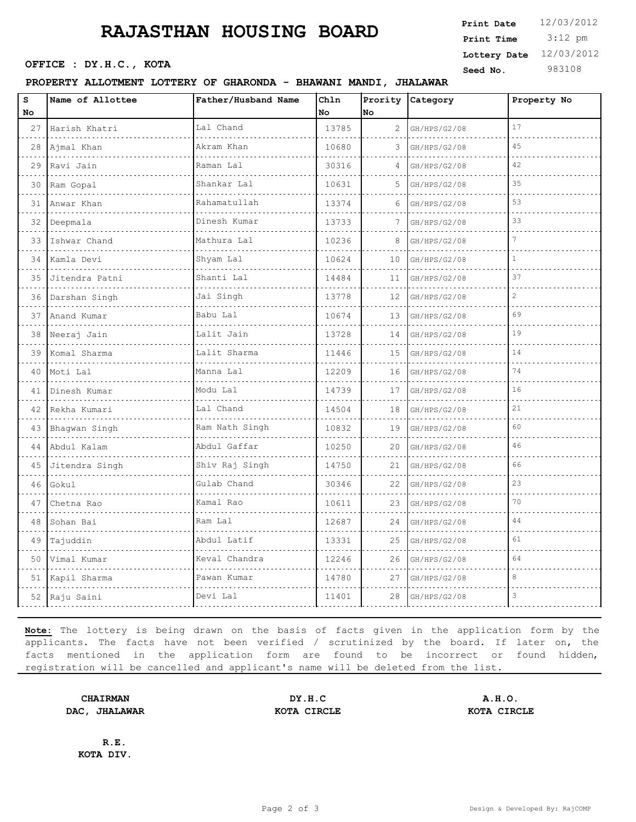# **RAJASTHAN HOUSING BOARD**

#### **PROPERTY ALLOTMENT LOTTERY OF GHARONDA - BHAWANI MANDI, JHALAWAR**

**Print Date**  $12/03/2012$ **Print Time**

 3:12 pm **OFFICE : DY.H.C., KOTA** Seed No. 983108 **Lottery Date** 12/03/2012

| $\mathbf{s}$<br>No | Name of Allottee  | Father/Husband Name                | Ch1n<br>No | Prority<br>No | Category     | Property No  |
|--------------------|-------------------|------------------------------------|------------|---------------|--------------|--------------|
| 27                 | Harish Khatri     | Lal Chand                          | 13785      | 2             | GH/HPS/G2/08 | 17           |
| 28                 | Ajmal Khan        | Akram Khan                         | 10680      | 3             | GH/HPS/G2/08 | 45           |
| 29                 | Ravi Jain         | Raman Lal                          | 30316      |               | GH/HPS/G2/08 | 42           |
|                    | 30 Ram Gopal<br>. | Shankar Lal<br>dia a dia a dia a d | 10631      | 5             | GH/HPS/G2/08 | 35           |
|                    | 31 Anwar Khan     | Rahamatullah                       | 13374      | 6             | GH/HPS/G2/08 | 53           |
| 32                 | Deepmala          | Dinesh Kumar                       | 13733      | 7             | GH/HPS/G2/08 | 33           |
| $33-1$             | Ishwar Chand      | Mathura Lal<br>.                   | 10236      | 8             | GH/HPS/G2/08 | 7            |
| 34                 | Kamla Devi        | Shyam Lal                          | 10624      | 10            | GH/HPS/G2/08 | 1            |
| 35                 | Jitendra Patni    | Shanti Lal                         | 14484      | 11            | GH/HPS/G2/08 | 37           |
| 36                 | Darshan Singh     | Jai Singh                          | 13778      | 12            | GH/HPS/G2/08 | $\mathbf{2}$ |
| 37                 | Anand Kumar       | Babu Lal                           | 10674      | 13            | GH/HPS/G2/08 | 69           |
| 38                 | Neeraj Jain       | Lalit Jain                         | 13728      | 14            | GH/HPS/G2/08 | 19           |
| 39                 | Komal Sharma      | Lalit Sharma                       | 11446      | 15            | GH/HPS/G2/08 | 14           |
| 40                 | Moti Lal          | Manna Lal                          | 12209      | 16            | GH/HPS/G2/08 | 74           |
| 41                 | Dinesh Kumar      | Modu Lal                           | 14739      | 17            | GH/HPS/G2/08 | 16           |
|                    | 42 Rekha Kumari   | Lal Chand                          | 14504      | 18            | GH/HPS/G2/08 | 21           |
|                    | 43 Bhagwan Singh  | Ram Nath Singh                     | 10832      | 19            | GH/HPS/G2/08 | 60           |
| 44                 | Abdul Kalam       | Abdul Gaffar                       | 10250      | 20            | GH/HPS/G2/08 | 46           |
|                    | 45 Jitendra Singh | Shiv Raj Singh                     | 14750      | 21            | GH/HPS/G2/08 | 66           |
| 46                 | Gokul             | Gulab Chand                        | 30346      | 22            | GH/HPS/G2/08 | 23           |
| 47                 | Chetna Rao        | Kamal Rao                          | 10611      | 23            | GH/HPS/G2/08 | 70           |
| 48                 | Sohan Bai         | Ram Lal                            | 12687      | 24            | GH/HPS/G2/08 | 44           |
| 49                 | Tajuddin          | Abdul Latif                        | 13331      | 25            | GH/HPS/G2/08 | 61           |
| 50                 | Vimal Kumar       | Keval Chandra                      | 12246      | 26            | GH/HPS/G2/08 | 64           |
|                    | 51 Kapil Sharma   | Pawan Kumar                        | 14780      | 27            | GH/HPS/G2/08 | 8            |
|                    | 52 Raju Saini     | Devi Lal                           | 11401      | 28            | GH/HPS/G2/08 | 3            |
|                    |                   |                                    |            |               |              |              |

**Note:** The lottery is being drawn on the basis of facts given in the application form by the applicants. The facts have not been verified / scrutinized by the board. If later on, the facts mentioned in the application form are found to be incorrect or found hidden, registration will be cancelled and applicant's name will be deleted from the list.

**DAC, JHALAWAR KOTA CIRCLE KOTA CIRCLE**

**CHAIRMAN DY.H.C A.H.O.**

**R.E. KOTA DIV.**